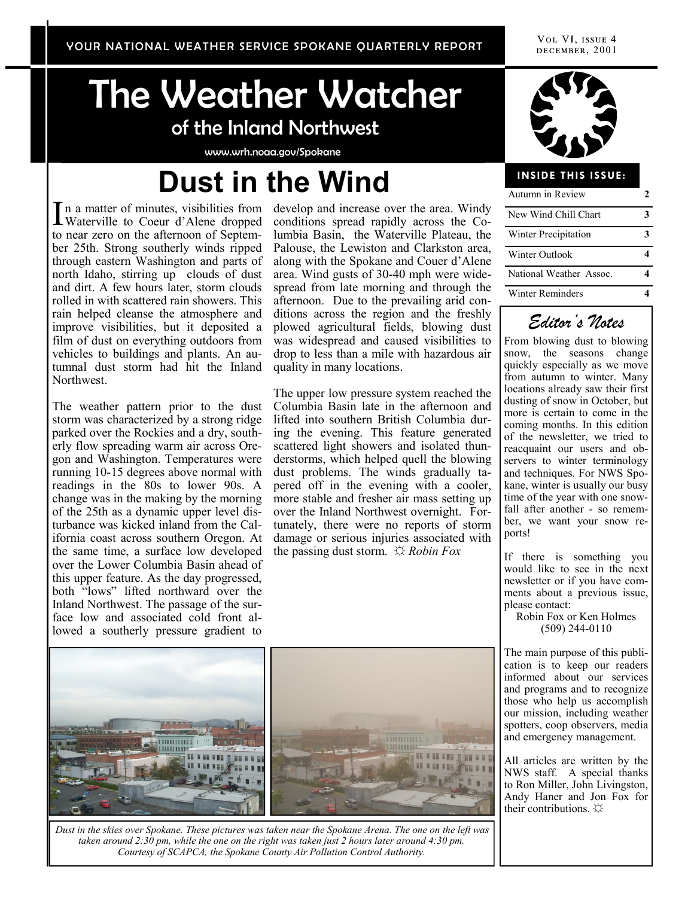# The Weather Watcher of the Inland Northwest

www.wrh.noaa.gov/Spokane

# **Dust in the Wind**

In a matter of minutes, visibilities from<br>Waterville to Coeur d'Alene dropped Waterville to Coeur d'Alene dropped to near zero on the afternoon of September 25th. Strong southerly winds ripped through eastern Washington and parts of north Idaho, stirring up clouds of dust and dirt. A few hours later, storm clouds rolled in with scattered rain showers. This rain helped cleanse the atmosphere and improve visibilities, but it deposited a film of dust on everything outdoors from vehicles to buildings and plants. An autumnal dust storm had hit the Inland Northwest.

The weather pattern prior to the dust storm was characterized by a strong ridge parked over the Rockies and a dry, southerly flow spreading warm air across Oregon and Washington. Temperatures were running 10-15 degrees above normal with readings in the 80s to lower 90s. A change was in the making by the morning of the 25th as a dynamic upper level disturbance was kicked inland from the California coast across southern Oregon. At the same time, a surface low developed over the Lower Columbia Basin ahead of this upper feature. As the day progressed, both "lows" lifted northward over the Inland Northwest. The passage of the surface low and associated cold front allowed a southerly pressure gradient to

develop and increase over the area. Windy conditions spread rapidly across the Columbia Basin, the Waterville Plateau, the Palouse, the Lewiston and Clarkston area, along with the Spokane and Couer d'Alene area. Wind gusts of 30-40 mph were widespread from late morning and through the afternoon. Due to the prevailing arid conditions across the region and the freshly plowed agricultural fields, blowing dust was widespread and caused visibilities to drop to less than a mile with hazardous air quality in many locations.

The upper low pressure system reached the Columbia Basin late in the afternoon and lifted into southern British Columbia during the evening. This feature generated scattered light showers and isolated thunderstorms, which helped quell the blowing dust problems. The winds gradually tapered off in the evening with a cooler, more stable and fresher air mass setting up over the Inland Northwest overnight. Fortunately, there were no reports of storm damage or serious injuries associated with the passing dust storm. ☼ *Robin Fox*



#### **INSIDE THIS ISSUE:**

| Autumn in Review        |  |  |  |  |
|-------------------------|--|--|--|--|
| New Wind Chill Chart    |  |  |  |  |
| Winter Precipitation    |  |  |  |  |
| Winter Outlook          |  |  |  |  |
| National Weather Assoc. |  |  |  |  |
| <b>Winter Reminders</b> |  |  |  |  |



From blowing dust to blowing snow, the seasons change quickly especially as we move from autumn to winter. Many locations already saw their first dusting of snow in October, but more is certain to come in the coming months. In this edition of the newsletter, we tried to reacquaint our users and observers to winter terminology and techniques. For NWS Spokane, winter is usually our busy time of the year with one snowfall after another - so remember, we want your snow reports!

If there is something you would like to see in the next newsletter or if you have comments about a previous issue, please contact:

Robin Fox or Ken Holmes (509) 244-0110

The main purpose of this publication is to keep our readers informed about our services and programs and to recognize those who help us accomplish our mission, including weather spotters, coop observers, media and emergency management.

All articles are written by the NWS staff. A special thanks to Ron Miller, John Livingston, Andy Haner and Jon Fox for their contributions.  $\varphi$ 



*Dust in the skies over Spokane. These pictures was taken near the Spokane Arena. The one on the left was taken around 2:30 pm, while the one on the right was taken just 2 hours later around 4:30 pm. Courtesy of SCAPCA, the Spokane County Air Pollution Control Authority.*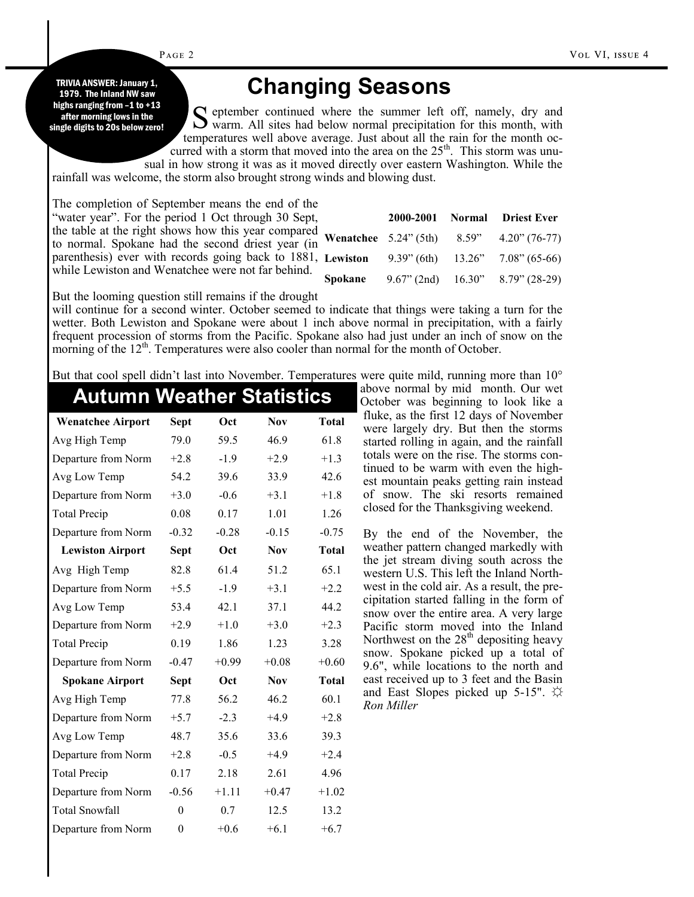Page 2

1979. The Inland NW saw highs ranging from -1 to +13 after morning lows in the single digits to 20s below zero!

## **TRIVIA ANSWER: January 1,<br>1979. The Inland NW saw <b>Changing Seasons**

S eptember continued where the summer left off, namely, dry and warm. All sites had below normal precipitation for this month, with  $\bf{C}$  eptember continued where the summer left off, namely, dry and temperatures well above average. Just about all the rain for the month occurred with a storm that moved into the area on the  $25<sup>th</sup>$ . This storm was unusual in how strong it was as it moved directly over eastern Washington. While the

rainfall was welcome, the storm also brought strong winds and blowing dust.

The completion of September means the end of the "water year". For the period 1 Oct through 30 Sept, the table at the right shows how this year compared to normal. Spokane had the second driest year (in parenthesis) ever with records going back to 1881, while Lewiston and Wenatchee were not far behind.

|  | 2000-2001 Normal Driest Ever                              |
|--|-----------------------------------------------------------|
|  | <b>Wenatchee</b> $5.24$ " (5th) $8.59$ " $4.20$ " (76-77) |
|  | <b>Lewiston</b> 9.39" (6th) $13.26$ " 7.08" (65-66)       |
|  | <b>Spokane</b> 9.67" (2nd) 16.30" 8.79" (28-29)           |
|  |                                                           |

But the looming question still remains if the drought

will continue for a second winter. October seemed to indicate that things were taking a turn for the wetter. Both Lewiston and Spokane were about 1 inch above normal in precipitation, with a fairly frequent procession of storms from the Pacific. Spokane also had just under an inch of snow on the morning of the  $12<sup>th</sup>$ . Temperatures were also cooler than normal for the month of October.

But that cool spell didn't last into November. Temperatures were quite mild, running more than 10°

| <b>Autumn Weather Statistics</b> |             |         |            |              |
|----------------------------------|-------------|---------|------------|--------------|
| <b>Wenatchee Airport</b>         | <b>Sept</b> | Oct     | <b>Nov</b> | <b>Total</b> |
| Avg High Temp                    | 79.0        | 59.5    | 46.9       | 61.8         |
| Departure from Norm              | $+2.8$      | $-1.9$  | $+2.9$     | $+1.3$       |
| Avg Low Temp                     | 54.2        | 39.6    | 33.9       | 42.6         |
| Departure from Norm              | $+3.0$      | $-0.6$  | $+3.1$     | $+1.8$       |
| <b>Total Precip</b>              | 0.08        | 0.17    | 1.01       | 1.26         |
| Departure from Norm              | $-0.32$     | $-0.28$ | $-0.15$    | $-0.75$      |
| <b>Lewiston Airport</b>          | <b>Sept</b> | Oct     | <b>Nov</b> | <b>Total</b> |
| Avg High Temp                    | 82.8        | 61.4    | 51.2       | 65.1         |
| Departure from Norm              | $+5.5$      | $-1.9$  | $+3.1$     | $+2.2$       |
| Avg Low Temp                     | 53.4        | 42.1    | 37.1       | 44.2         |
| Departure from Norm              | $+2.9$      | $+1.0$  | $+3.0$     | $+2.3$       |
| Total Precip                     | 0.19        | 1.86    | 1.23       | 3.28         |
| Departure from Norm              | $-0.47$     | $+0.99$ | $+0.08$    | $+0.60$      |
| <b>Spokane Airport</b>           | <b>Sept</b> | Oct     | <b>Nov</b> | <b>Total</b> |
| Avg High Temp                    | 77.8        | 56.2    | 46.2       | 60.1         |
| Departure from Norm              | $+5.7$      | $-2.3$  | $+4.9$     | $+2.8$       |
| Avg Low Temp                     | 48.7        | 35.6    | 33.6       | 39.3         |
| Departure from Norm              | $+2.8$      | $-0.5$  | $+4.9$     | $+2.4$       |
| <b>Total Precip</b>              | 0.17        | 2.18    | 2.61       | 4.96         |
| Departure from Norm              | $-0.56$     | $+1.11$ | $+0.47$    | $+1.02$      |
| Total Snowfall                   | $\theta$    | 0.7     | 12.5       | 13.2         |
| Departure from Norm              | $\theta$    | $+0.6$  | $+6.1$     | $+6.7$       |

above normal by mid month. Our wet October was beginning to look like a fluke, as the first 12 days of November were largely dry. But then the storms started rolling in again, and the rainfall totals were on the rise. The storms continued to be warm with even the highest mountain peaks getting rain instead of snow. The ski resorts remained closed for the Thanksgiving weekend.

By the end of the November, the weather pattern changed markedly with the jet stream diving south across the western U.S. This left the Inland Northwest in the cold air. As a result, the precipitation started falling in the form of snow over the entire area. A very large Pacific storm moved into the Inland Northwest on the  $28<sup>th</sup>$  depositing heavy snow. Spokane picked up a total of 9.6", while locations to the north and east received up to 3 feet and the Basin and East Slopes picked up 5-15".  $\varphi$ *Ron Miller*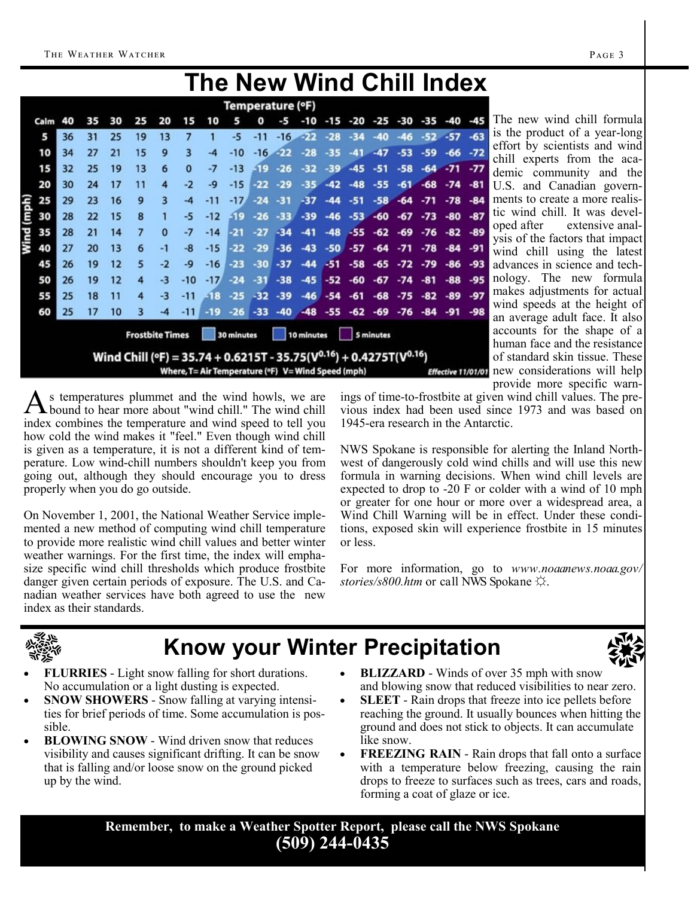## **The New Wind Chill Index**

|            |                                                                                                                                                    |    |    |    |    |          |          |       | Temperature (°F) |       |       |                                                          |       |       |       |       |       |                    |       |
|------------|----------------------------------------------------------------------------------------------------------------------------------------------------|----|----|----|----|----------|----------|-------|------------------|-------|-------|----------------------------------------------------------|-------|-------|-------|-------|-------|--------------------|-------|
|            | Calm                                                                                                                                               | 40 | 35 | 30 | 25 | 20       | 15       | 10    |                  | n     | -5    | -10                                                      | -15   | -20   | -25   | -30   | -35   | -40                | -45   |
|            | 5                                                                                                                                                  | 36 | 31 | 25 | 19 | 13       | 7        |       | -5               | -11   | $-16$ | -22                                                      | $-28$ | $-34$ | $-40$ | $-46$ | $-52$ | $-57$              | $-63$ |
|            | 10                                                                                                                                                 | 34 | 27 | 21 | 15 | 9        | 3        | -4    | -10              | $-16$ | -22   | -28                                                      | -35   | -41   | $-47$ | -53   | $-59$ | $-66$              | $-72$ |
|            | 15                                                                                                                                                 | 32 | 25 | 19 | 13 | 6        | $\bf{0}$ | -7    | $-13$            | -19   | $-26$ | -32                                                      | -39   | $-45$ | $-51$ | -58   | $-64$ | $-71$              | $-77$ |
|            | 20                                                                                                                                                 | 30 | 24 | 17 | 11 | 4        | $-2$     | -9    | $-15$            | -22   | $-29$ | $-35$                                                    | $-42$ | $-48$ | $-55$ | $-61$ | $-68$ | $-74$              | $-81$ |
|            | 25                                                                                                                                                 | 29 | 23 | 16 | 9  | 3        | $-4$     | $-11$ | $-17'$           | $-24$ | $-31$ | $-37$                                                    | $-44$ | $-51$ | $-58$ | $-64$ | $-71$ | $-78$              | $-84$ |
| Wind (mph) | 30                                                                                                                                                 | 28 | 22 | 15 | 8  |          | -5       | $-12$ | -19              | $-26$ | $-33$ | $-39$                                                    | $-46$ | $-53$ | $-60$ | $-67$ | $-73$ | -80                | $-87$ |
|            | 35                                                                                                                                                 | 28 | 21 | 14 | 7  | $\Omega$ | -7       | $-14$ | -21              | $-27$ | $-34$ | -41                                                      | $-48$ | $-55$ | $-62$ | $-69$ | $-76$ | $-82$              | -89   |
|            | 40                                                                                                                                                 | 27 | 20 | 13 | 6  | $-1$     | -8       | $-15$ | $-22$            | $-29$ | $-36$ | -43                                                      | -50   | -57   | -64   | $-71$ | $-78$ | $-84$              | -91   |
|            | 45                                                                                                                                                 | 26 | 19 | 12 | 5  | $-2$     | $-9$     | $-16$ | -23              | -30   | $-37$ | -44                                                      | $-51$ | $-58$ | -65   | $-72$ | $-79$ | $-86$              | $-93$ |
|            | 50                                                                                                                                                 | 26 | 19 | 12 | 4  | $-3$     | $-10$    | $-17$ | $-24$            | $-31$ | $-38$ | $-45$                                                    | $-52$ | -60   | $-67$ | $-74$ | $-81$ | $-88$              | -95   |
|            | 55                                                                                                                                                 | 25 | 18 | 11 | 4  | $-3$     | $-11$    | $-18$ | $-25$            | $-32$ | $-39$ | $-46$                                                    | $-54$ | $-61$ | $-68$ | $-75$ | $-82$ | $-89$              | $-97$ |
|            | 60                                                                                                                                                 | 25 | 17 | 10 | з  | -4       | $-11$    | $-19$ | $-26$            | $-33$ | $-40$ | $-48$                                                    | $-55$ | $-62$ | $-69$ | $-76$ | $-84$ | $-91$              | $-98$ |
|            | <b>Frostbite Times</b><br>30 minutes<br>10 minutes<br>5 minutes<br>Wind Chill (°F) = 35.74 + 0.6215T - 35.75( $V^{0.16}$ ) + 0.4275T( $V^{0.16}$ ) |    |    |    |    |          |          |       |                  |       |       |                                                          |       |       |       |       |       |                    |       |
|            |                                                                                                                                                    |    |    |    |    |          |          |       |                  |       |       | Where, $T = Air Temperature$ (°F) $V = Wind Speed$ (mph) |       |       |       |       |       | Effective 11/01/01 |       |

The new wind chill formula is the product of a year-long effort by scientists and wind chill experts from the academic community and the U.S. and Canadian governments to create a more realistic wind chill. It was developed after extensive analysis of the factors that impact wind chill using the latest advances in science and technology. The new formula makes adjustments for actual wind speeds at the height of an average adult face. It also accounts for the shape of a human face and the resistance of standard skin tissue. These new considerations will help provide more specific warn-

As temperatures plummet and the wind howls, we are bound to hear more about "wind chill." The wind chill s temperatures plummet and the wind howls, we are index combines the temperature and wind speed to tell you how cold the wind makes it "feel." Even though wind chill is given as a temperature, it is not a different kind of temperature. Low wind-chill numbers shouldn't keep you from going out, although they should encourage you to dress properly when you do go outside.

On November 1, 2001, the National Weather Service implemented a new method of computing wind chill temperature to provide more realistic wind chill values and better winter weather warnings. For the first time, the index will emphasize specific wind chill thresholds which produce frostbite danger given certain periods of exposure. The U.S. and Canadian weather services have both agreed to use the new index as their standards.

ings of time-to-frostbite at given wind chill values. The previous index had been used since 1973 and was based on 1945-era research in the Antarctic.

NWS Spokane is responsible for alerting the Inland Northwest of dangerously cold wind chills and will use this new formula in warning decisions. When wind chill levels are expected to drop to -20 F or colder with a wind of 10 mph or greater for one hour or more over a widespread area, a Wind Chill Warning will be in effect. Under these conditions, exposed skin will experience frostbite in 15 minutes or less.

For more information, go to *www.noaanews.noaa.gov/ stories/s800.htm* or call NWS Spokane ☼.



## **Know your Winter Precipitation**



- **FLURRIES** Light snow falling for short durations. No accumulation or a light dusting is expected.
- **SNOW SHOWERS**  Snow falling at varying intensities for brief periods of time. Some accumulation is possible.
- **BLOWING SNOW**  Wind driven snow that reduces visibility and causes significant drifting. It can be snow that is falling and/or loose snow on the ground picked up by the wind.
- **BLIZZARD** Winds of over 35 mph with snow and blowing snow that reduced visibilities to near zero.
- **SLEET** Rain drops that freeze into ice pellets before reaching the ground. It usually bounces when hitting the ground and does not stick to objects. It can accumulate like snow.
- **FREEZING RAIN** Rain drops that fall onto a surface with a temperature below freezing, causing the rain drops to freeze to surfaces such as trees, cars and roads, forming a coat of glaze or ice.

**Remember, to make a Weather Spotter Report, please call the NWS Spokane (509) 244-0435**